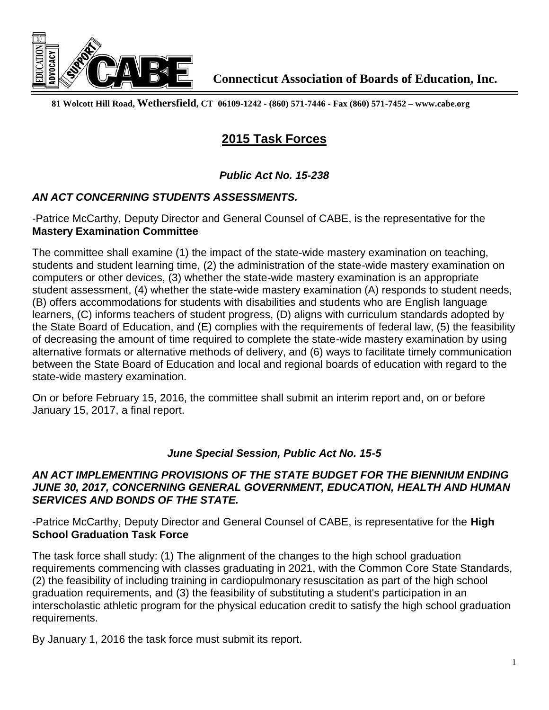

**81 Wolcott Hill Road, Wethersfield, CT 06109-1242 - (860) 571-7446 - Fax (860) 571-7452 – www.cabe.org** 

# **2015 Task Forces**

## *Public Act No. 15-238*

## *AN ACT CONCERNING STUDENTS ASSESSMENTS.*

-Patrice McCarthy, Deputy Director and General Counsel of CABE, is the representative for the **Mastery Examination Committee**

The committee shall examine (1) the impact of the state-wide mastery examination on teaching, students and student learning time, (2) the administration of the state-wide mastery examination on computers or other devices, (3) whether the state-wide mastery examination is an appropriate student assessment, (4) whether the state-wide mastery examination (A) responds to student needs, (B) offers accommodations for students with disabilities and students who are English language learners, (C) informs teachers of student progress, (D) aligns with curriculum standards adopted by the State Board of Education, and (E) complies with the requirements of federal law, (5) the feasibility of decreasing the amount of time required to complete the state-wide mastery examination by using alternative formats or alternative methods of delivery, and (6) ways to facilitate timely communication between the State Board of Education and local and regional boards of education with regard to the state-wide mastery examination.

On or before February 15, 2016, the committee shall submit an interim report and, on or before January 15, 2017, a final report.

#### *June Special Session, Public Act No. 15-5*

#### *AN ACT IMPLEMENTING PROVISIONS OF THE STATE BUDGET FOR THE BIENNIUM ENDING JUNE 30, 2017, CONCERNING GENERAL GOVERNMENT, EDUCATION, HEALTH AND HUMAN SERVICES AND BONDS OF THE STATE.*

-Patrice McCarthy, Deputy Director and General Counsel of CABE, is representative for the **High School Graduation Task Force**

The task force shall study: (1) The alignment of the changes to the high school graduation requirements commencing with classes graduating in 2021, with the Common Core State Standards, (2) the feasibility of including training in cardiopulmonary resuscitation as part of the high school graduation requirements, and (3) the feasibility of substituting a student's participation in an interscholastic athletic program for the physical education credit to satisfy the high school graduation requirements.

By January 1, 2016 the task force must submit its report.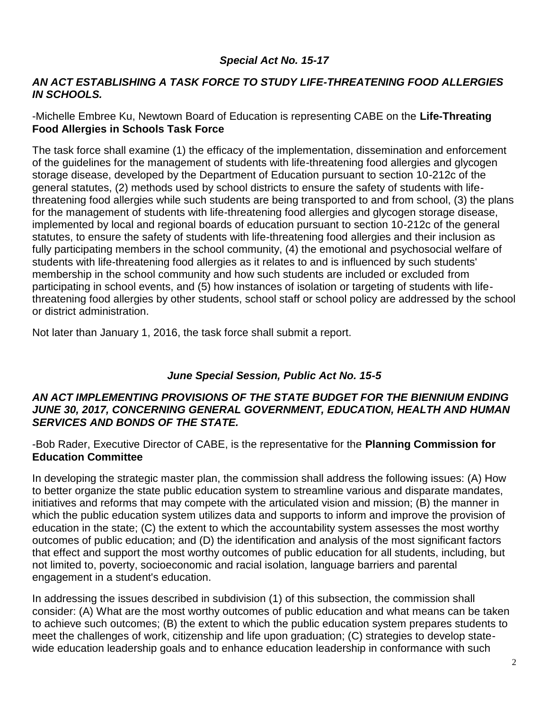# *Special Act No. 15-17*

#### *AN ACT ESTABLISHING A TASK FORCE TO STUDY LIFE-THREATENING FOOD ALLERGIES IN SCHOOLS.*

#### -Michelle Embree Ku, Newtown Board of Education is representing CABE on the **Life-Threating Food Allergies in Schools Task Force**

The task force shall examine (1) the efficacy of the implementation, dissemination and enforcement of the guidelines for the management of students with life-threatening food allergies and glycogen storage disease, developed by the Department of Education pursuant to section 10-212c of the general statutes, (2) methods used by school districts to ensure the safety of students with lifethreatening food allergies while such students are being transported to and from school, (3) the plans for the management of students with life-threatening food allergies and glycogen storage disease, implemented by local and regional boards of education pursuant to section 10-212c of the general statutes, to ensure the safety of students with life-threatening food allergies and their inclusion as fully participating members in the school community, (4) the emotional and psychosocial welfare of students with life-threatening food allergies as it relates to and is influenced by such students' membership in the school community and how such students are included or excluded from participating in school events, and (5) how instances of isolation or targeting of students with lifethreatening food allergies by other students, school staff or school policy are addressed by the school or district administration.

Not later than January 1, 2016, the task force shall submit a report.

## *June Special Session, Public Act No. 15-5*

#### *AN ACT IMPLEMENTING PROVISIONS OF THE STATE BUDGET FOR THE BIENNIUM ENDING JUNE 30, 2017, CONCERNING GENERAL GOVERNMENT, EDUCATION, HEALTH AND HUMAN SERVICES AND BONDS OF THE STATE.*

-Bob Rader, Executive Director of CABE, is the representative for the **Planning Commission for Education Committee**

In developing the strategic master plan, the commission shall address the following issues: (A) How to better organize the state public education system to streamline various and disparate mandates, initiatives and reforms that may compete with the articulated vision and mission; (B) the manner in which the public education system utilizes data and supports to inform and improve the provision of education in the state; (C) the extent to which the accountability system assesses the most worthy outcomes of public education; and (D) the identification and analysis of the most significant factors that effect and support the most worthy outcomes of public education for all students, including, but not limited to, poverty, socioeconomic and racial isolation, language barriers and parental engagement in a student's education.

In addressing the issues described in subdivision (1) of this subsection, the commission shall consider: (A) What are the most worthy outcomes of public education and what means can be taken to achieve such outcomes; (B) the extent to which the public education system prepares students to meet the challenges of work, citizenship and life upon graduation; (C) strategies to develop statewide education leadership goals and to enhance education leadership in conformance with such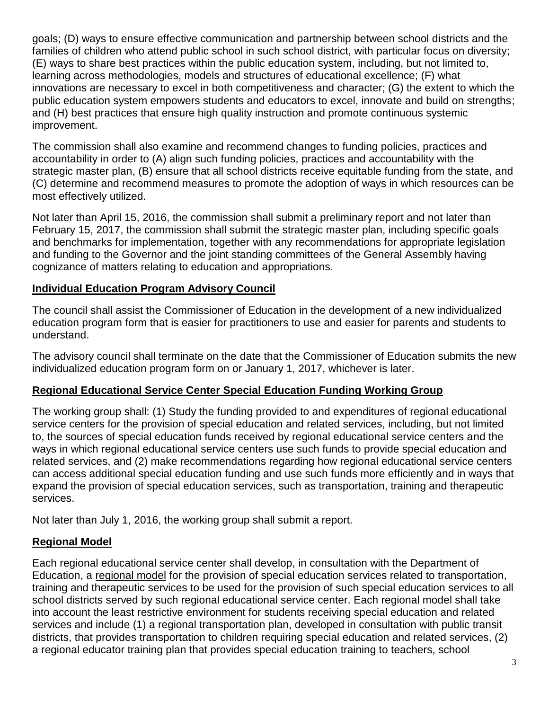goals; (D) ways to ensure effective communication and partnership between school districts and the families of children who attend public school in such school district, with particular focus on diversity; (E) ways to share best practices within the public education system, including, but not limited to, learning across methodologies, models and structures of educational excellence; (F) what innovations are necessary to excel in both competitiveness and character; (G) the extent to which the public education system empowers students and educators to excel, innovate and build on strengths; and (H) best practices that ensure high quality instruction and promote continuous systemic improvement.

The commission shall also examine and recommend changes to funding policies, practices and accountability in order to (A) align such funding policies, practices and accountability with the strategic master plan, (B) ensure that all school districts receive equitable funding from the state, and (C) determine and recommend measures to promote the adoption of ways in which resources can be most effectively utilized.

Not later than April 15, 2016, the commission shall submit a preliminary report and not later than February 15, 2017, the commission shall submit the strategic master plan, including specific goals and benchmarks for implementation, together with any recommendations for appropriate legislation and funding to the Governor and the joint standing committees of the General Assembly having cognizance of matters relating to education and appropriations.

## **Individual Education Program Advisory Council**

The council shall assist the Commissioner of Education in the development of a new individualized education program form that is easier for practitioners to use and easier for parents and students to understand.

The advisory council shall terminate on the date that the Commissioner of Education submits the new individualized education program form on or January 1, 2017, whichever is later.

## **Regional Educational Service Center Special Education Funding Working Group**

The working group shall: (1) Study the funding provided to and expenditures of regional educational service centers for the provision of special education and related services, including, but not limited to, the sources of special education funds received by regional educational service centers and the ways in which regional educational service centers use such funds to provide special education and related services, and (2) make recommendations regarding how regional educational service centers can access additional special education funding and use such funds more efficiently and in ways that expand the provision of special education services, such as transportation, training and therapeutic services.

Not later than July 1, 2016, the working group shall submit a report.

## **Regional Model**

Each regional educational service center shall develop, in consultation with the Department of Education, a regional model for the provision of special education services related to transportation, training and therapeutic services to be used for the provision of such special education services to all school districts served by such regional educational service center. Each regional model shall take into account the least restrictive environment for students receiving special education and related services and include (1) a regional transportation plan, developed in consultation with public transit districts, that provides transportation to children requiring special education and related services, (2) a regional educator training plan that provides special education training to teachers, school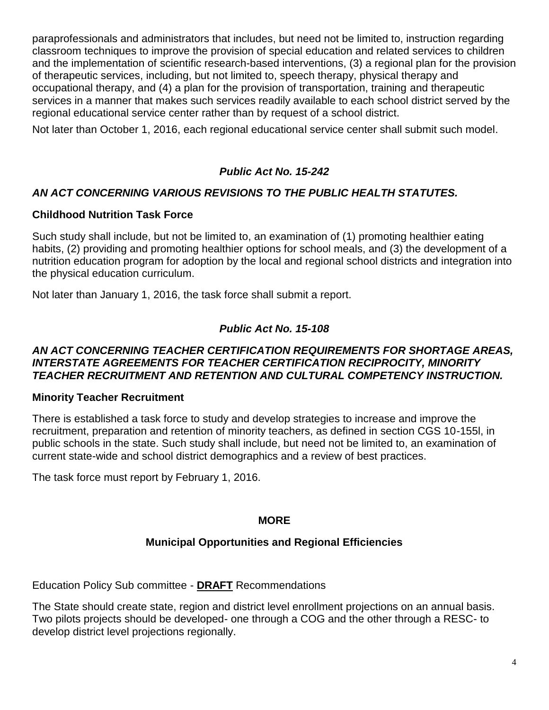paraprofessionals and administrators that includes, but need not be limited to, instruction regarding classroom techniques to improve the provision of special education and related services to children and the implementation of scientific research-based interventions, (3) a regional plan for the provision of therapeutic services, including, but not limited to, speech therapy, physical therapy and occupational therapy, and (4) a plan for the provision of transportation, training and therapeutic services in a manner that makes such services readily available to each school district served by the regional educational service center rather than by request of a school district.

Not later than October 1, 2016, each regional educational service center shall submit such model.

# *Public Act No. 15-242*

# *AN ACT CONCERNING VARIOUS REVISIONS TO THE PUBLIC HEALTH STATUTES.*

## **Childhood Nutrition Task Force**

Such study shall include, but not be limited to, an examination of (1) promoting healthier eating habits, (2) providing and promoting healthier options for school meals, and (3) the development of a nutrition education program for adoption by the local and regional school districts and integration into the physical education curriculum.

Not later than January 1, 2016, the task force shall submit a report.

# *Public Act No. 15-108*

#### *AN ACT CONCERNING TEACHER CERTIFICATION REQUIREMENTS FOR SHORTAGE AREAS, INTERSTATE AGREEMENTS FOR TEACHER CERTIFICATION RECIPROCITY, MINORITY TEACHER RECRUITMENT AND RETENTION AND CULTURAL COMPETENCY INSTRUCTION.*

## **Minority Teacher Recruitment**

There is established a task force to study and develop strategies to increase and improve the recruitment, preparation and retention of minority teachers, as defined in section CGS 10-155l, in public schools in the state. Such study shall include, but need not be limited to, an examination of current state-wide and school district demographics and a review of best practices.

The task force must report by February 1, 2016.

# **MORE**

# **Municipal Opportunities and Regional Efficiencies**

Education Policy Sub committee - **DRAFT** Recommendations

The State should create state, region and district level enrollment projections on an annual basis. Two pilots projects should be developed- one through a COG and the other through a RESC- to develop district level projections regionally.